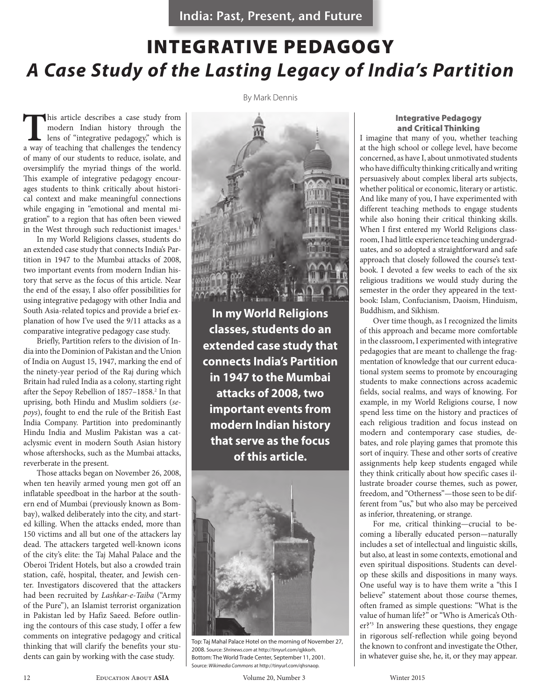India: Past, Present, and Future

# INTEGRATIVE PEDAGOGY *A Case Study of the Lasting Legacy of India's Partition*

By Mark Dennis

**T**his article describes a case study from modern Indian history through the lens of "integrative pedagogy," which is a way of teaching that challenges the tendency of many of our students to reduce, isolate, and oversimplify the myriad things of the world. This example of integrative pedagogy encourages students to think critically about historical context and make meaningful connections while engaging in "emotional and mental migration" to a region that has often been viewed in the West through such reductionist images.<sup>1</sup>

In my World Religions classes, students do an extended case study that connects India's Partition in 1947 to the Mumbai attacks of 2008, two important events from modern Indian history that serve as the focus of this article. Near the end of the essay, I also offer possibilities for using integrative pedagogy with other India and South Asia-related topics and provide a brief explanation of how I've used the 9/11 attacks as a comparative integrative pedagogy case study.

Briefly, Partition refers to the division of India into the Dominion of Pakistan and the Union of India on August 15, 1947, marking the end of the ninety-year period of the Raj during which Britain had ruled India as a colony, starting right after the Sepoy Rebellion of 1857-1858.<sup>2</sup> In that uprising, both Hindu and Muslim soldiers (*sepoys*), fought to end the rule of the British East India Company. Partition into predominantly Hindu India and Muslim Pakistan was a cataclysmic event in modern South Asian history whose aftershocks, such as the Mumbai attacks, reverberate in the present.

Those attacks began on November 26, 2008, when ten heavily armed young men got off an inflatable speedboat in the harbor at the southern end of Mumbai (previously known as Bombay), walked deliberately into the city, and started killing. When the attacks ended, more than 150 victims and all but one of the attackers lay dead. The attackers targeted well-known icons of the city's elite: the Taj Mahal Palace and the Oberoi Trident Hotels, but also a crowded train station, café, hospital, theater, and Jewish center. Investigators discovered that the attackers had been recruited by *Lashkar-e-Taiba* ("Army of the Pure"), an Islamist terrorist organization in Pakistan led by Hafiz Saeed. Before outlining the contours of this case study, I offer a few comments on integrative pedagogy and critical thinking that will clarify the benefits your students can gain by working with the case study.



**In my World Religions classes, students do an extended case study that connects India's Partition in 1947 to the Mumbai attacks of 2008, two important events from modern Indian history that serve as the focus of this article.**



Top: Taj Mahal Palace Hotel on the morning of November 27, 2008. Source: *Shrinews.com* at http://tinyurl.com/qjkkorh. Bottom: The World Trade Center, September 11, 2001. Source: *Wikimedia Commons* at http://tinyurl.com/qhsnaop.

#### Integrative Pedagogy and Critical Thinking

I imagine that many of you, whether teaching at the high school or college level, have become concerned, as have I, about unmotivated students who have difficulty thinking critically and writing persuasively about complex liberal arts subjects, whether political or economic, literary or artistic. And like many of you, I have experimented with different teaching methods to engage students while also honing their critical thinking skills. When I first entered my World Religions classroom, I had little experience teaching undergraduates, and so adopted a straightforward and safe approach that closely followed the course's textbook. I devoted a few weeks to each of the six religious traditions we would study during the semester in the order they appeared in the textbook: Islam, Confucianism, Daoism, Hinduism, Buddhism, and Sikhism.

Over time though, as I recognized the limits of this approach and became more comfortable in the classroom, I experimented with integrative pedagogies that are meant to challenge the fragmentation of knowledge that our current educational system seems to promote by encouraging students to make connections across academic fields, social realms, and ways of knowing. For example, in my World Religions course, I now spend less time on the history and practices of each religious tradition and focus instead on modern and contemporary case studies, debates, and role playing games that promote this sort of inquiry. These and other sorts of creative assignments help keep students engaged while they think critically about how specific cases illustrate broader course themes, such as power, freedom, and "Otherness"—those seen to be different from "us," but who also may be perceived as inferior, threatening, or strange.

For me, critical thinking—crucial to becoming a liberally educated person—naturally includes a set of intellectual and linguistic skills, but also, at least in some contexts, emotional and even spiritual dispositions. Students can develop these skills and dispositions in many ways. One useful way is to have them write a "this I believe" statement about those course themes, often framed as simple questions: "What is the value of human life?" or "Who is America's Other?'3 In answering these questions, they engage in rigorous self-reflection while going beyond the known to confront and investigate the Other, in whatever guise she, he, it, or they may appear.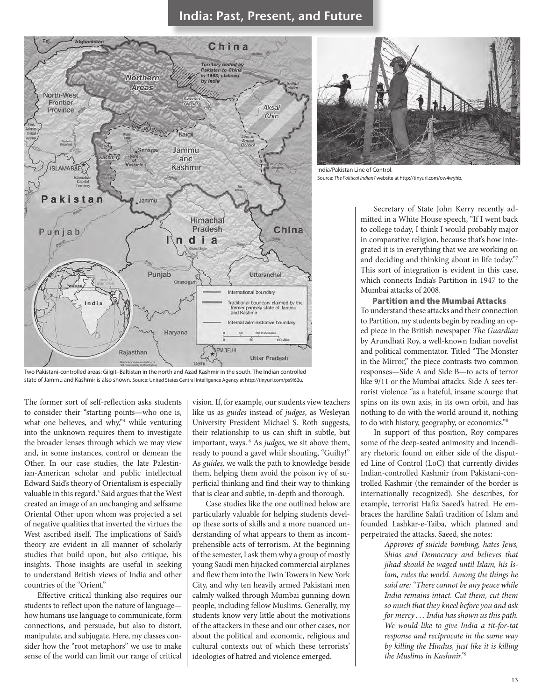## India: Past, Present, and Future



Two Pakistani-controlled areas: Gilgit–Baltistan in the north and Azad Kashmir in the south. The Indian controlled state of Jammu and Kashmir is also shown. Source: United States Central Intelligence Agency at http://tinyurl.com/ps9l62u.

The former sort of self-reflection asks students to consider their "starting points—who one is, what one believes, and why,"<sup>4</sup> while venturing into the unknown requires them to investigate the broader lenses through which we may view and, in some instances, control or demean the Other. In our case studies, the late Palestinian-American scholar and public intellectual Edward Said's theory of Orientalism is especially valuable in this regard.<sup>5</sup> Said argues that the West created an image of an unchanging and selfsame Oriental Other upon whom was projected a set of negative qualities that inverted the virtues the West ascribed itself. The implications of Said's theory are evident in all manner of scholarly studies that build upon, but also critique, his insights. Those insights are useful in seeking to understand British views of India and other countries of the "Orient."

Effective critical thinking also requires our students to reflect upon the nature of language how humans use language to communicate, form connections, and persuade, but also to distort, manipulate, and subjugate. Here, my classes consider how the "root metaphors" we use to make sense of the world can limit our range of critical

vision. If, for example, our students view teachers like us as *guides* instead of *judges*, as Wesleyan University President Michael S. Roth suggests, their relationship to us can shift in subtle, but important, ways. 6 As *judges*, we sit above them, ready to pound a gavel while shouting, "Guilty!" As *guides,* we walk the path to knowledge beside them, helping them avoid the poison ivy of superficial thinking and find their way to thinking that is clear and subtle, in-depth and thorough.

Case studies like the one outlined below are particularly valuable for helping students develop these sorts of skills and a more nuanced understanding of what appears to them as incomprehensible acts of terrorism. At the beginning of the semester, I ask them why a group of mostly young Saudi men hijacked commercial airplanes and flew them into the Twin Towers in New York City, and why ten heavily armed Pakistani men calmly walked through Mumbai gunning down people, including fellow Muslims. Generally, my students know very little about the motivations of the attackers in these and our other cases, nor about the political and economic, religious and cultural contexts out of which these terrorists' ideologies of hatred and violence emerged.



India/Pakistan Line of Control. Source: *The Political Indian?* website at http://tinyurl.com/ow4wyhb.

Secretary of State John Kerry recently admitted in a White House speech, "If I went back to college today, I think I would probably major in comparative religion, because that's how integrated it is in everything that we are working on and deciding and thinking about in life today."7 This sort of integration is evident in this case, which connects India's Partition in 1947 to the Mumbai attacks of 2008.

Partition and the Mumbai Attacks To understand these attacks and their connection to Partition, my students begin by reading an oped piece in the British newspaper *The Guardian* by Arundhati Roy, a well-known Indian novelist and political commentator. Titled "The Monster in the Mirror," the piece contrasts two common responses—Side A and Side B—to acts of terror like 9/11 or the Mumbai attacks. Side A sees terrorist violence "as a hateful, insane scourge that spins on its own axis, in its own orbit, and has nothing to do with the world around it, nothing to do with history, geography, or economics."8

In support of this position, Roy compares some of the deep-seated animosity and incendiary rhetoric found on either side of the disputed Line of Control (LoC) that currently divides Indian-controlled Kashmir from Pakistani-controlled Kashmir (the remainder of the border is internationally recognized). She describes, for example, terrorist Hafiz Saeed's hatred. He embraces the hardline Salafi tradition of Islam and founded Lashkar-e-Taiba, which planned and perpetrated the attacks. Saeed, she notes:

> *Approves of suicide bombing, hates Jews, Shias and Democracy and believes that jihad should be waged until Islam, his Islam, rules the world. Among the things he said are: "There cannot be any peace while India remains intact. Cut them, cut them so much that they kneel before you and ask for mercy . . . India has shown us this path. We would like to give India a tit-for-tat response and reciprocate in the same way by killing the Hindus, just like it is killing the Muslims in Kashmir."*<sup>9</sup>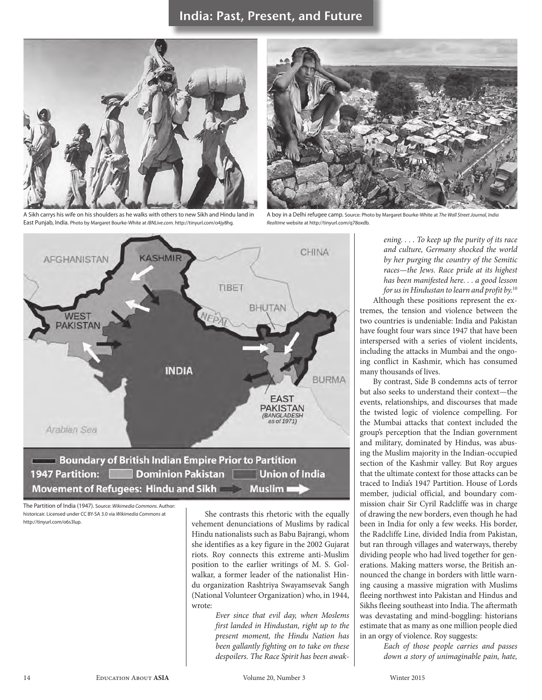

A Sikh carrys his wife on his shoulders as he walks with others to new Sikh and Hindu land in East Punjab, India. Photo by Margaret Bourke-White at *IBNLive.com*. http://tinyurl.com/o4jy8hg.



A boy in a Delhi refugee camp. Source: Photo by Margaret Bourke-White at *The Wall Street Journal, India Realtime* website at http://tinyurl.com/q78oxdb.



1947 Partition: Dominion Pakistan | Union of India Movement of Refugees: Hindu and Sikh **Souting Exercise 1** 

The Partition of India (1947). Source: *Wikimedia Commons*. Author: historicair. Licensed under CC BY-SA 3.0 via *Wikimedia Commons* at http://tinyurl.com/o6s3lup.

She contrasts this rhetoric with the equally vehement denunciations of Muslims by radical Hindu nationalists such as Babu Bajrangi, whom she identifies as a key figure in the 2002 Gujarat riots. Roy connects this extreme anti-Muslim position to the earlier writings of M. S. Golwalkar, a former leader of the nationalist Hindu organization Rashtriya Swayamsevak Sangh (National Volunteer Organization) who, in 1944, wrote:

> *Ever since that evil day, when Moslems first landed in Hindustan, right up to the present moment, the Hindu Nation has been gallantly fighting on to take on these despoilers. The Race Spirit has been awak-*

*ening. . . . To keep up the purity of its race and culture, Germany shocked the world by her purging the country of the Semitic races—the Jews. Race pride at its highest has been manifested here. . . a good lesson for us in Hindustan to learn and profit by.*<sup>10</sup>

Although these positions represent the extremes, the tension and violence between the two countries is undeniable: India and Pakistan have fought four wars since 1947 that have been interspersed with a series of violent incidents, including the attacks in Mumbai and the ongoing conflict in Kashmir, which has consumed many thousands of lives.

By contrast, Side B condemns acts of terror but also seeks to understand their context—the events, relationships, and discourses that made the twisted logic of violence compelling. For the Mumbai attacks that context included the group's perception that the Indian government and military, dominated by Hindus, was abusing the Muslim majority in the Indian-occupied section of the Kashmir valley. But Roy argues that the ultimate context for those attacks can be traced to India's 1947 Partition. House of Lords member, judicial official, and boundary commission chair Sir Cyril Radcliffe was in charge of drawing the new borders, even though he had been in India for only a few weeks. His border, the Radcliffe Line, divided India from Pakistan, but ran through villages and waterways, thereby dividing people who had lived together for generations. Making matters worse, the British announced the change in borders with little warning causing a massive migration with Muslims fleeing northwest into Pakistan and Hindus and Sikhs fleeing southeast into India. The aftermath was devastating and mind-boggling: historians estimate that as many as one million people died in an orgy of violence. Roy suggests:

> *Each of those people carries and passes down a story of unimaginable pain, hate,*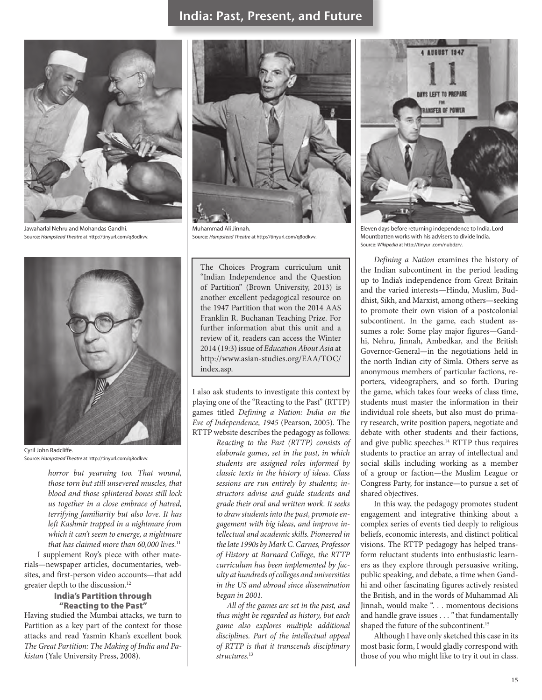### India: Past, Present, and Future



Jawaharlal Nehru and Mohandas Gandhi. Source: *Hampstead Theatre* at http://tinyurl.com/q8odkvv*.*



Cyril John Radcliffe. Source: *Hampstead Theatre* at http://tinyurl.com/q8odkvv*.*

*horror but yearning too. That wound, those torn but still unsevered muscles, that blood and those splintered bones still lock us together in a close embrace of hatred, terrifying familiarity but also love. It has left Kashmir trapped in a nightmare from which it can't seem to emerge, a nightmare that has claimed more than 60,000 lives.*<sup>11</sup>

I supplement Roy's piece with other materials—newspaper articles, documentaries, websites, and first-person video accounts—that add greater depth to the discussion.12

#### India's Partition through "Reacting to the Past"

Having studied the Mumbai attacks, we turn to Partition as a key part of the context for those attacks and read Yasmin Khan's excellent book *The Great Partition: The Making of India and Pakistan* (Yale University Press, 2008)*.*



Muhammad Ali Jinnah. Source: *Hampstead Theatre* at http://tinyurl.com/q8odkvv*.*

The Choices Program curriculum unit "Indian Independence and the Question of Partition" (Brown University, 2013) is another excellent pedagogical resource on the 1947 Partition that won the 2014 AAS Franklin R. Buchanan Teaching Prize. For further information abut this unit and a review of it, readers can access the Winter 2014 (19:3) issue of *Education About Asia* at http://www.asian-studies.org/EAA/TOC/ index.asp.

I also ask students to investigate this context by playing one of the "Reacting to the Past" (RTTP) games titled *Defining a Nation: India on the Eve of Independence, 1945* (Pearson, 2005). The RTTP website describes the pedagogy as follows:

*Reacting to the Past (RTTP) consists of elaborate games, set in the past, in which students are assigned roles informed by classic texts in the history of ideas. Class sessions are run entirely by students; instructors advise and guide students and grade their oral and written work. It seeks to draw students into the past, promote engagement with big ideas, and improve intellectual and academic skills. Pioneered in the late 1990s by Mark C. Carnes, Professor of History at Barnard College, the RTTP curriculum has been implemented by faculty at hundreds of colleges and universities in the US and abroad since dissemination began in 2001.*

*All of the games are set in the past, and thus might be regarded as history, but each game also explores multiple additional disciplines. Part of the intellectual appeal of RTTP is that it transcends disciplinary structures.*<sup>13</sup>



Eleven days before returning independence to India, Lord Mountbatten works with his advisers to divide India. Source: *Wikipedia* at http://tinyurl.com/nubdzrv*.*

*Defining a Nation* examines the history of the Indian subcontinent in the period leading up to India's independence from Great Britain and the varied interests—Hindu, Muslim, Buddhist, Sikh, and Marxist, among others—seeking to promote their own vision of a postcolonial subcontinent. In the game, each student assumes a role: Some play major figures—Gandhi, Nehru, Jinnah, Ambedkar, and the British Governor-General—in the negotiations held in the north Indian city of Simla. Others serve as anonymous members of particular factions, reporters, videographers, and so forth. During the game, which takes four weeks of class time, students must master the information in their individual role sheets, but also must do primary research, write position papers, negotiate and debate with other students and their factions, and give public speeches.14 RTTP thus requires students to practice an array of intellectual and social skills including working as a member of a group or faction—the Muslim League or Congress Party, for instance—to pursue a set of shared objectives.

In this way, the pedagogy promotes student engagement and integrative thinking about a complex series of events tied deeply to religious beliefs, economic interests, and distinct political visions. The RTTP pedagogy has helped transform reluctant students into enthusiastic learners as they explore through persuasive writing, public speaking, and debate, a time when Gandhi and other fascinating figures actively resisted the British, and in the words of Muhammad Ali Jinnah, would make ". . . momentous decisions and handle grave issues . . . " that fundamentally shaped the future of the subcontinent.<sup>15</sup>

Although I have only sketched this case in its most basic form, I would gladly correspond with those of you who might like to try it out in class.